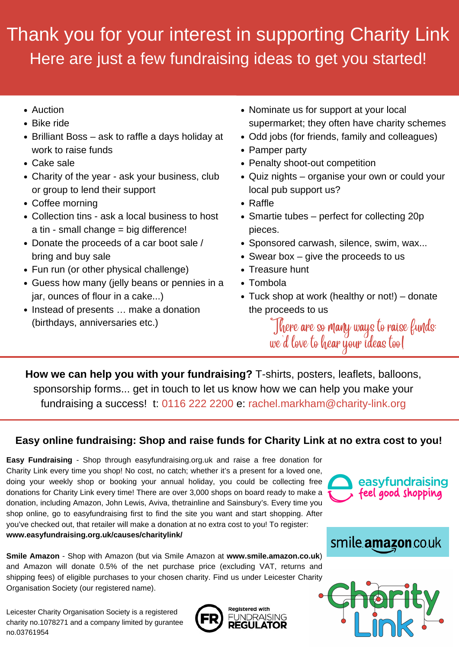Leicester Charity Organisation Society is a registered charity no.1078271 and a company limited by gurantee no.03761954





![](_page_0_Picture_33.jpeg)

![](_page_0_Picture_34.jpeg)

## Thank you for your interest in supporting Charity Link Here are just a few fundraising ideas to get you started!

- Auction
- Bike ride
- Brilliant Boss ask to raffle a days holiday at work to raise funds
- Cake sale
- Charity of the year ask your business, club or group to lend their support
- Coffee morning
- Collection tins ask a local business to host a tin - small change = big difference!
- Donate the proceeds of a car boot sale / bring and buy sale
- Fun run (or other physical challenge)
- Guess how many (jelly beans or pennies in a jar, ounces of flour in a cake...)
- Instead of presents ... make a donation (birthdays, anniversaries etc.)
- Nominate us for support at your local supermarket; they often have charity schemes
- Odd jobs (for friends, family and colleagues)
- Pamper party
- Penalty shoot-out competition
- Quiz nights organise your own or could your local pub support us?
- Raffle
- Smartie tubes perfect for collecting 20p pieces.
- Sponsored carwash, silence, swim, wax...
- Swear box give the proceeds to us
- Treasure hunt
- Tombola
- Tuck shop at work (healthy or not!) donate the proceeds to us

There are so many ways to raise funds; we 'd love to hear your ideas too!

**How we can help you with your fundraising?** T-shirts, posters, leaflets, balloons, sponsorship forms... get in touch to let us know how we can help you make your fundraising a success! t: 0116 222 2200 e: rachel.markham@charity-link.org

**Easy Fundraising** - Shop through easyfundraising.org.uk and raise a free donation for Charity Link every time you shop! No cost, no catch; whether it's a present for a loved one, doing your weekly shop or booking your annual holiday, you could be collecting free donations for Charity Link every time! There are over 3,000 shops on board ready to make a donation, including Amazon, John Lewis, Aviva, thetrainline and Sainsbury's. Every time you shop online, go to easyfundraising first to find the site you want and start shopping. After you've checked out, that retailer will make a donation at no extra cost to you! To register: **www.easyfundraising.org.uk/causes/charitylink/**

![](_page_0_Picture_29.jpeg)

## **Easy online fundraising: Shop and raise funds for Charity Link at no extra cost to you!**